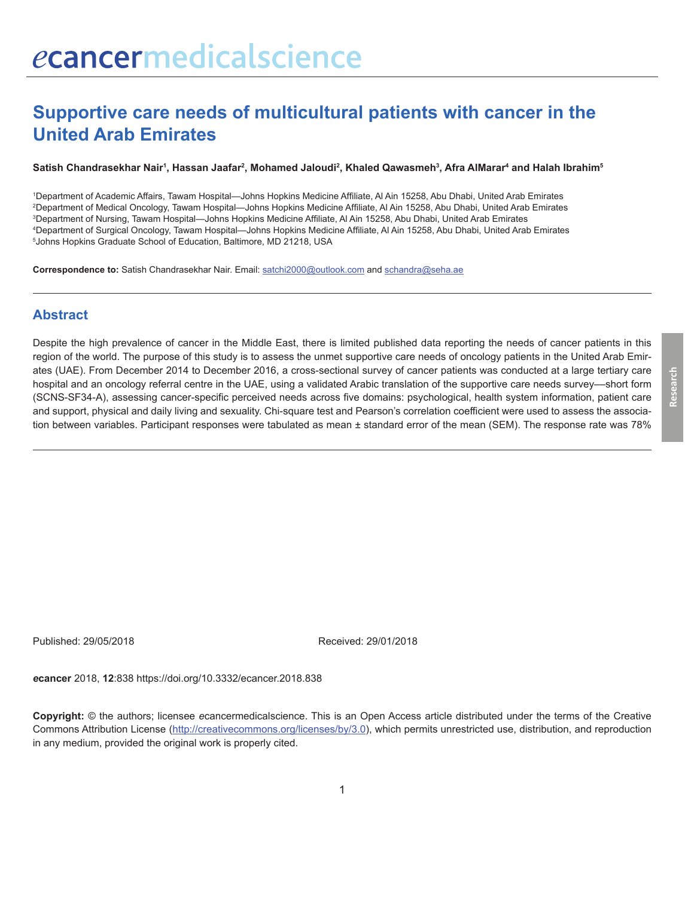# **Supportive care needs of multicultural patients with cancer in the United Arab Emirates**

#### Satish Chandrasekhar Nair<sup>ı</sup>, Hassan Jaafar<sup>2</sup>, Mohamed Jaloudi<sup>2</sup>, Khaled Qawasmeh<sup>3</sup>, Afra AlMarar<sup>4</sup> and Halah Ibrahim<sup>5</sup>

 Department of Academic Affairs, Tawam Hospital—Johns Hopkins Medicine Affiliate, Al Ain 15258, Abu Dhabi, United Arab Emirates Department of Medical Oncology, Tawam Hospital—Johns Hopkins Medicine Affiliate, Al Ain 15258, Abu Dhabi, United Arab Emirates Department of Nursing, Tawam Hospital—Johns Hopkins Medicine Affiliate, Al Ain 15258, Abu Dhabi, United Arab Emirates Department of Surgical Oncology, Tawam Hospital—Johns Hopkins Medicine Affiliate, Al Ain 15258, Abu Dhabi, United Arab Emirates Johns Hopkins Graduate School of Education, Baltimore, MD 21218, USA

**Correspondence to:** Satish Chandrasekhar Nair. Email: satchi2000@outlook.com and schandra@seha.ae

### **Abstract**

Despite the high prevalence of cancer in the Middle East, there is limited published data reporting the needs of cancer patients in this region of the world. The purpose of this study is to assess the unmet supportive care needs of oncology patients in the United Arab Emirates (UAE). From December 2014 to December 2016, a cross-sectional survey of cancer patients was conducted at a large tertiary care hospital and an oncology referral centre in the UAE, using a validated Arabic translation of the supportive care needs survey––short form (SCNS-SF34-A), assessing cancer-specific perceived needs across five domains: psychological, health system information, patient care and support, physical and daily living and sexuality. Chi-square test and Pearson's correlation coefficient were used to assess the association between variables. Participant responses were tabulated as mean ± standard error of the mean (SEM). The response rate was 78%

Published: 29/05/2018 Received: 29/01/2018

*e***cancer** 2018, **12**:838 https://doi.org/10.3332/ecancer.2018.838

**Copyright:** © the authors; licensee *e*cancermedicalscience. This is an Open Access article distributed under the terms of the Creative Commons Attribution License (http://creativecommons.org/licenses/by/3.0), which permits unrestricted use, distribution, and reproduction in any medium, provided the original work is properly cited.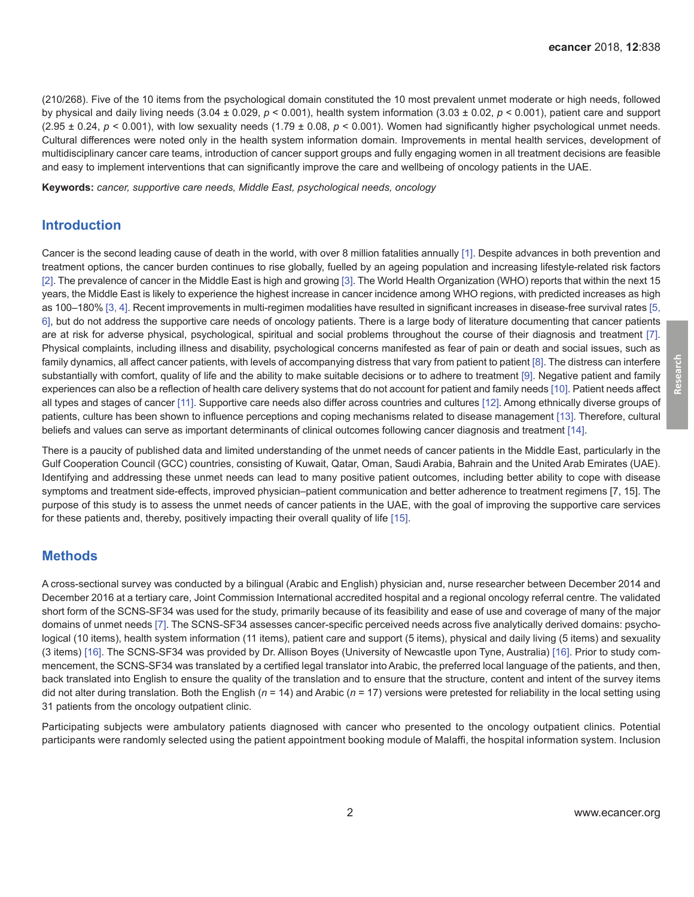(210/268). Five of the 10 items from the psychological domain constituted the 10 most prevalent unmet moderate or high needs, followed by physical and daily living needs (3.04 ± 0.029, *p* < 0.001), health system information (3.03 ± 0.02, *p* < 0.001), patient care and support  $(2.95 \pm 0.24, p < 0.001)$ , with low sexuality needs  $(1.79 \pm 0.08, p < 0.001)$ . Women had significantly higher psychological unmet needs. Cultural differences were noted only in the health system information domain. Improvements in mental health services, development of multidisciplinary cancer care teams, introduction of cancer support groups and fully engaging women in all treatment decisions are feasible and easy to implement interventions that can significantly improve the care and wellbeing of oncology patients in the UAE.

**Keywords:** *cancer, supportive care needs, Middle East, psychological needs, oncology*

### **Introduction**

Cancer is the second leading cause of death in the world, with over 8 million fatalities annually [\[1\]](#page-7-0). Despite advances in both prevention and treatment options, the cancer burden continues to rise globally, fuelled by an ageing population and increasing lifestyle-related risk factors [\[2\]](#page-7-0). The prevalence of cancer in the Middle East is high and growing [\[3\]](#page-7-0). The World Health Organization (WHO) reports that within the next 15 years, the Middle East is likely to experience the highest increase in cancer incidence among WHO regions, with predicted increases as high as 100–180% [\[3, 4\].](#page-7-0) Recent improvements in multi-regimen modalities have resulted in significant increases in disease-free survival rates [\[5,](#page-8-0)  [6\]](#page-8-0), but do not address the supportive care needs of oncology patients. There is a large body of literature documenting that cancer patients are at risk for adverse physical, psychological, spiritual and social problems throughout the course of their diagnosis and treatment [\[7\]](#page-8-0). Physical complaints, including illness and disability, psychological concerns manifested as fear of pain or death and social issues, such as family dynamics, all affect cancer patients, with levels of accompanying distress that vary from patient to patient [\[8\].](#page-8-0) The distress can interfere substantially with comfort, quality of life and the ability to make suitable decisions or to adhere to treatment [\[9\]](#page-8-0). Negative patient and family experiences can also be a reflection of health care delivery systems that do not account for patient and family needs [\[10\]](#page-8-0). Patient needs affect all types and stages of cancer [\[11\].](#page-8-0) Supportive care needs also differ across countries and cultures [\[12\]](#page-8-0). Among ethnically diverse groups of patients, culture has been shown to influence perceptions and coping mechanisms related to disease management [\[13\]](#page-8-0). Therefore, cultural beliefs and values can serve as important determinants of clinical outcomes following cancer diagnosis and treatment [\[14\].](#page-8-0)

There is a paucity of published data and limited understanding of the unmet needs of cancer patients in the Middle East, particularly in the Gulf Cooperation Council (GCC) countries, consisting of Kuwait, Qatar, Oman, Saudi Arabia, Bahrain and the United Arab Emirates (UAE). Identifying and addressing these unmet needs can lead to many positive patient outcomes, including better ability to cope with disease symptoms and treatment side-effects, improved physician–patient communication and better adherence to treatment regimens [7, 15]. The purpose of this study is to assess the unmet needs of cancer patients in the UAE, with the goal of improving the supportive care services for these patients and, thereby, positively impacting their overall quality of life [\[15\]](#page-8-0).

### **Methods**

A cross-sectional survey was conducted by a bilingual (Arabic and English) physician and, nurse researcher between December 2014 and December 2016 at a tertiary care, Joint Commission International accredited hospital and a regional oncology referral centre. The validated short form of the SCNS-SF34 was used for the study, primarily because of its feasibility and ease of use and coverage of many of the major domains of unmet needs [\[7\].](#page-8-0) The SCNS-SF34 assesses cancer-specific perceived needs across five analytically derived domains: psychological (10 items), health system information (11 items), patient care and support (5 items), physical and daily living (5 items) and sexuality (3 items) [\[16\]](#page-8-0). The SCNS-SF34 was provided by Dr. Allison Boyes (University of Newcastle upon Tyne, Australia) [\[16\]](#page-8-0). Prior to study commencement, the SCNS-SF34 was translated by a certified legal translator into Arabic, the preferred local language of the patients, and then, back translated into English to ensure the quality of the translation and to ensure that the structure, content and intent of the survey items did not alter during translation. Both the English (*n* = 14) and Arabic (*n* = 17) versions were pretested for reliability in the local setting using 31 patients from the oncology outpatient clinic.

Participating subjects were ambulatory patients diagnosed with cancer who presented to the oncology outpatient clinics. Potential participants were randomly selected using the patient appointment booking module of Malaffi, the hospital information system. Inclusion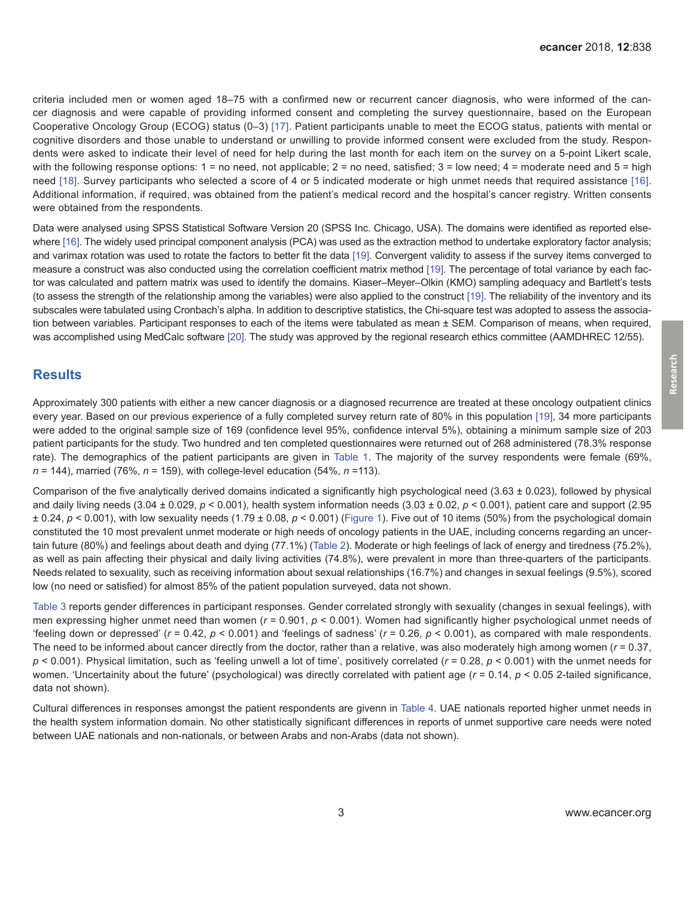criteria included men or women aged 18–75 with a confirmed new or recurrent cancer diagnosis, who were informed of the cancer diagnosis and were capable of providing informed consent and completing the survey questionnaire, based on the European Cooperative Oncology Group (ECOG) status (0–3) [\[17\].](#page-8-0) Patient participants unable to meet the ECOG status, patients with mental or cognitive disorders and those unable to understand or unwilling to provide informed consent were excluded from the study. Respondents were asked to indicate their level of need for help during the last month for each item on the survey on a 5-point Likert scale, with the following response options:  $1 =$  no need, not applicable;  $2 =$  no need, satisfied;  $3 =$  low need;  $4 =$  moderate need and  $5 =$  high need [\[18\].](#page-8-0) Survey participants who selected a score of 4 or 5 indicated moderate or high unmet needs that required assistance [\[16\]](#page-8-0). Additional information, if required, was obtained from the patient's medical record and the hospital's cancer registry. Written consents were obtained from the respondents.

Data were analysed using SPSS Statistical Software Version 20 (SPSS Inc. Chicago, USA). The domains were identified as reported else-where [\[16\]](#page-8-0). The widely used principal component analysis (PCA) was used as the extraction method to undertake exploratory factor analysis; and varimax rotation was used to rotate the factors to better fit the data [\[19\].](#page-8-0) Convergent validity to assess if the survey items converged to measure a construct was also conducted using the correlation coefficient matrix method [\[19\]](#page-8-0). The percentage of total variance by each factor was calculated and pattern matrix was used to identify the domains. Kiaser–Meyer–Olkin (KMO) sampling adequacy and Bartlett's tests (to assess the strength of the relationship among the variables) were also applied to the construct [\[19\].](#page-8-0) The reliability of the inventory and its subscales were tabulated using Cronbach's alpha. In addition to descriptive statistics, the Chi-square test was adopted to assess the association between variables. Participant responses to each of the items were tabulated as mean ± SEM. Comparison of means, when required, was accomplished using MedCalc software [\[20\]](#page-8-0). The study was approved by the regional research ethics committee (AAMDHREC 12/55).

# **Results**

Approximately 300 patients with either a new cancer diagnosis or a diagnosed recurrence are treated at these oncology outpatient clinics every year. Based on our previous experience of a fully completed survey return rate of 80% in this population [\[19\],](#page-8-0) 34 more participants were added to the original sample size of 169 (confidence level 95%, confidence interval 5%), obtaining a minimum sample size of 203 patient participants for the study. Two hundred and ten completed questionnaires were returned out of 268 administered (78.3% response rate). The demographics of the patient participants are given in [Table 1](#page-3-0). The majority of the survey respondents were female (69%, *n* = 144), married (76%, *n* = 159), with college-level education (54%, *n* =113).

Comparison of the five analytically derived domains indicated a significantly high psychological need  $(3.63 \pm 0.023)$ , followed by physical and daily living needs (3.04 ± 0.029, *p* < 0.001), health system information needs (3.03 ± 0.02, *p* < 0.001), patient care and support (2.95 ± 0.24, *p* < 0.001), with low sexuality needs (1.79 ± 0.08, *p* < 0.001) ([Figure 1](#page-3-0)). Five out of 10 items (50%) from the psychological domain constituted the 10 most prevalent unmet moderate or high needs of oncology patients in the UAE, including concerns regarding an uncertain future (80%) and feelings about death and dying (77.1%) ([Table 2](#page-4-0)). Moderate or high feelings of lack of energy and tiredness (75.2%), as well as pain affecting their physical and daily living activities (74.8%), were prevalent in more than three-quarters of the participants. Needs related to sexuality, such as receiving information about sexual relationships (16.7%) and changes in sexual feelings (9.5%), scored low (no need or satisfied) for almost 85% of the patient population surveyed, data not shown.

[Table 3](#page-4-0) reports gender differences in participant responses. Gender correlated strongly with sexuality (changes in sexual feelings), with men expressing higher unmet need than women ( $r = 0.901$ ,  $p < 0.001$ ). Women had significantly higher psychological unmet needs of 'feeling down or depressed' (*r* = 0.42, *p* < 0.001) and 'feelings of sadness' (*r* = 0.26, *p* < 0.001), as compared with male respondents. The need to be informed about cancer directly from the doctor, rather than a relative, was also moderately high among women (*r* = 0.37, *p* < 0.001). Physical limitation, such as 'feeling unwell a lot of time', positively correlated (*r* = 0.28, *p* < 0.001) with the unmet needs for women. 'Uncertainity about the future' (psychological) was directly correlated with patient age ( $r = 0.14$ ,  $p < 0.05$  2-tailed significance, data not shown).

Cultural differences in responses amongst the patient respondents are givenn in [Table 4](#page-4-0). UAE nationals reported higher unmet needs in the health system information domain. No other statistically significant differences in reports of unmet supportive care needs were noted between UAE nationals and non-nationals, or between Arabs and non-Arabs (data not shown).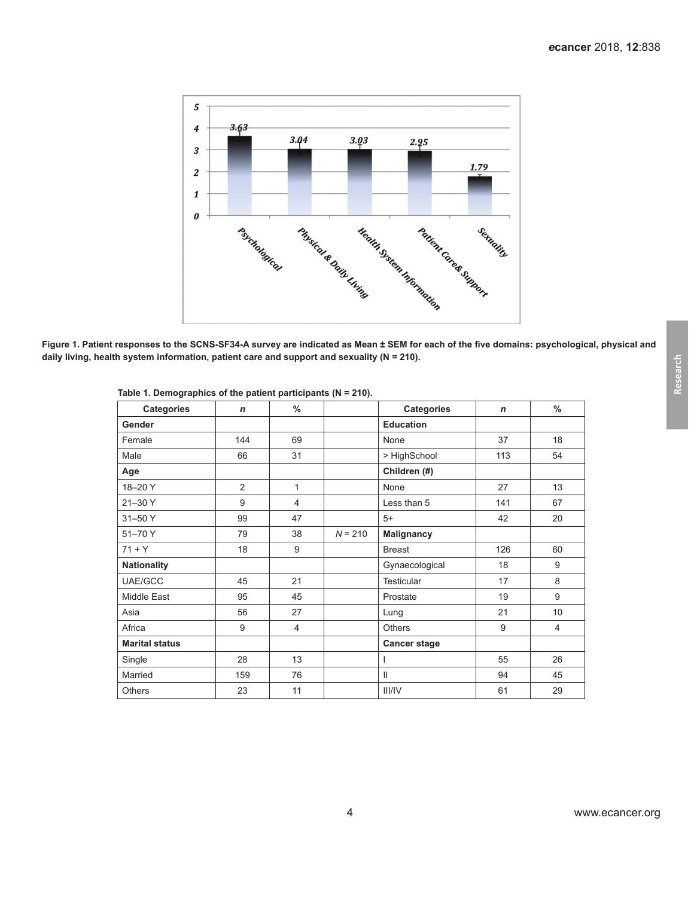<span id="page-3-0"></span>

**Figure 1. Patient responses to the SCNS-SF34-A survey are indicated as Mean ± SEM for each of the five domains: psychological, physical and daily living, health system information, patient care and support and sexuality (N = 210).**

| <b>Categories</b>     | $\mathbf n$    | $\frac{0}{0}$  |           | <b>Categories</b>   | $\mathbf n$ | $\frac{0}{0}$ |
|-----------------------|----------------|----------------|-----------|---------------------|-------------|---------------|
| Gender                |                |                |           | <b>Education</b>    |             |               |
| Female                | 144            | 69             |           | None                | 37          | 18            |
| Male                  | 66             | 31             |           | > HighSchool        | 113         | 54            |
| Age                   |                |                |           | Children (#)        |             |               |
| 18-20 Y               | $\overline{2}$ | 1              |           | None                | 27          | 13            |
| $21 - 30Y$            | 9              | $\overline{4}$ |           | Less than 5         | 141         | 67            |
| 31-50 Y               | 99             | 47             |           | $5+$                | 42          | 20            |
| 51-70 Y               | 79             | 38             | $N = 210$ | Malignancy          |             |               |
| $71 + Y$              | 18             | 9              |           | <b>Breast</b>       | 126         | 60            |
| <b>Nationality</b>    |                |                |           | Gynaecological      | 18          | 9             |
| UAE/GCC               | 45             | 21             |           | <b>Testicular</b>   | 17          | 8             |
| Middle East           | 95             | 45             |           | Prostate            | 19          | 9             |
| Asia                  | 56             | 27             |           | Lung                | 21          | 10            |
| Africa                | 9              | $\overline{4}$ |           | <b>Others</b>       | 9           | 4             |
| <b>Marital status</b> |                |                |           | <b>Cancer stage</b> |             |               |
| Single                | 28             | 13             |           | T                   | 55          | 26            |
| Married               | 159            | 76             |           | $\mathbf{II}$       | 94          | 45            |
| <b>Others</b>         | 23             | 11             |           | <b>III/IV</b>       | 61          | 29            |

#### **Table 1. Demographics of the patient participants (N = 210).**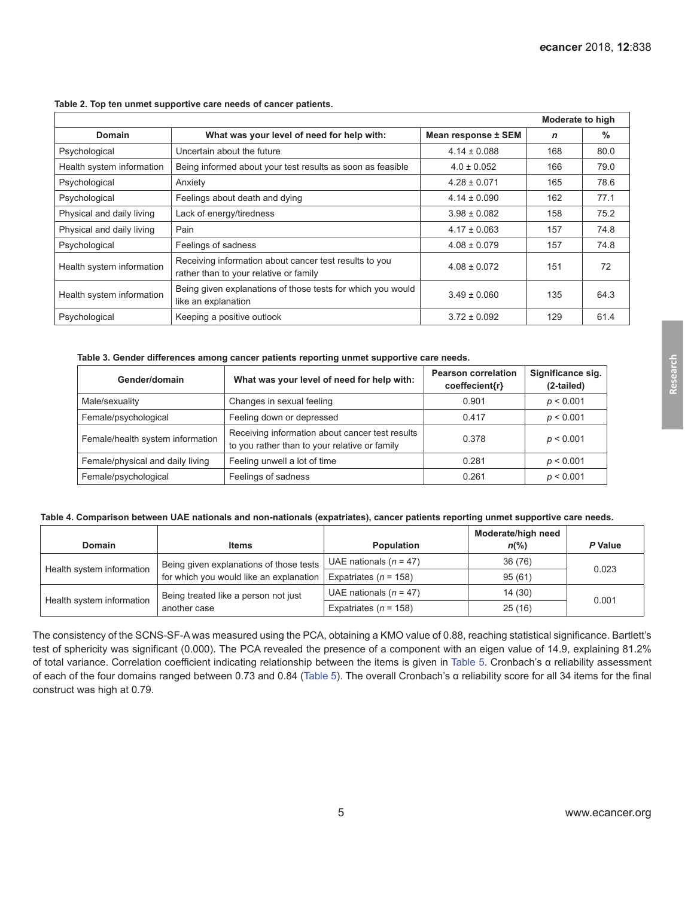#### <span id="page-4-0"></span>**Table 2. Top ten unmet supportive care needs of cancer patients.**

|                           |                                                                                                  |                     |     | Moderate to high |  |
|---------------------------|--------------------------------------------------------------------------------------------------|---------------------|-----|------------------|--|
| Domain                    | What was your level of need for help with:                                                       | Mean response ± SEM | n   | $\%$             |  |
| Psychological             | Uncertain about the future                                                                       | $4.14 \pm 0.088$    | 168 | 80.0             |  |
| Health system information | Being informed about your test results as soon as feasible                                       | $4.0 \pm 0.052$     | 166 | 79.0             |  |
| Psychological             | Anxiety                                                                                          | $4.28 \pm 0.071$    | 165 | 78.6             |  |
| Psychological             | Feelings about death and dying                                                                   | $4.14 \pm 0.090$    | 162 | 77.1             |  |
| Physical and daily living | Lack of energy/tiredness                                                                         | $3.98 \pm 0.082$    | 158 | 75.2             |  |
| Physical and daily living | Pain                                                                                             | $4.17 \pm 0.063$    | 157 | 74.8             |  |
| Psychological             | Feelings of sadness                                                                              | $4.08 \pm 0.079$    | 157 | 74.8             |  |
| Health system information | Receiving information about cancer test results to you<br>rather than to your relative or family | $4.08 \pm 0.072$    | 151 | 72               |  |
| Health system information | Being given explanations of those tests for which you would<br>like an explanation               | $3.49 \pm 0.060$    | 135 | 64.3             |  |
| Psychological             | Keeping a positive outlook                                                                       | $3.72 \pm 0.092$    | 129 | 61.4             |  |

**Table 3. Gender differences among cancer patients reporting unmet supportive care needs.**

| Gender/domain                    | What was your level of need for help with:                                                       | <b>Pearson correlation</b><br>coeffecient{r} | Significance sig.<br>(2-tailed) |
|----------------------------------|--------------------------------------------------------------------------------------------------|----------------------------------------------|---------------------------------|
| Male/sexuality                   | Changes in sexual feeling                                                                        | 0.901                                        | p < 0.001                       |
| Female/psychological             | Feeling down or depressed                                                                        | 0.417                                        | p < 0.001                       |
| Female/health system information | Receiving information about cancer test results<br>to you rather than to your relative or family | 0.378                                        | p < 0.001                       |
| Female/physical and daily living | Feeling unwell a lot of time                                                                     | 0.281                                        | p < 0.001                       |
| Female/psychological             | Feelings of sadness                                                                              | 0.261                                        | p < 0.001                       |

#### **Table 4. Comparison between UAE nationals and non-nationals (expatriates), cancer patients reporting unmet supportive care needs.**

|                           |                                                                                    |                           | Moderate/high need |         |
|---------------------------|------------------------------------------------------------------------------------|---------------------------|--------------------|---------|
| <b>Domain</b>             | <b>Items</b>                                                                       | <b>Population</b>         | $n\frac{6}{6}$     | P Value |
| Health system information | Being given explanations of those tests<br>for which you would like an explanation | UAE nationals $(n = 47)$  | 36 (76)            | 0.023   |
|                           |                                                                                    | Expatriates ( $n = 158$ ) | 95(61)             |         |
| Health system information | Being treated like a person not just<br>another case                               | UAE nationals $(n = 47)$  | 14(30)             | 0.001   |
|                           |                                                                                    | Expatriates ( $n = 158$ ) | 25(16)             |         |

The consistency of the SCNS-SF-A was measured using the PCA, obtaining a KMO value of 0.88, reaching statistical significance. Bartlett's test of sphericity was significant (0.000). The PCA revealed the presence of a component with an eigen value of 14.9, explaining 81.2% of total variance. Correlation coefficient indicating relationship between the items is given in [Table 5](#page-5-0). Cronbach's α reliability assessment of each of the four domains ranged between 0.73 and 0.84 ([Table 5](#page-5-0)). The overall Cronbach's α reliability score for all 34 items for the final construct was high at 0.79.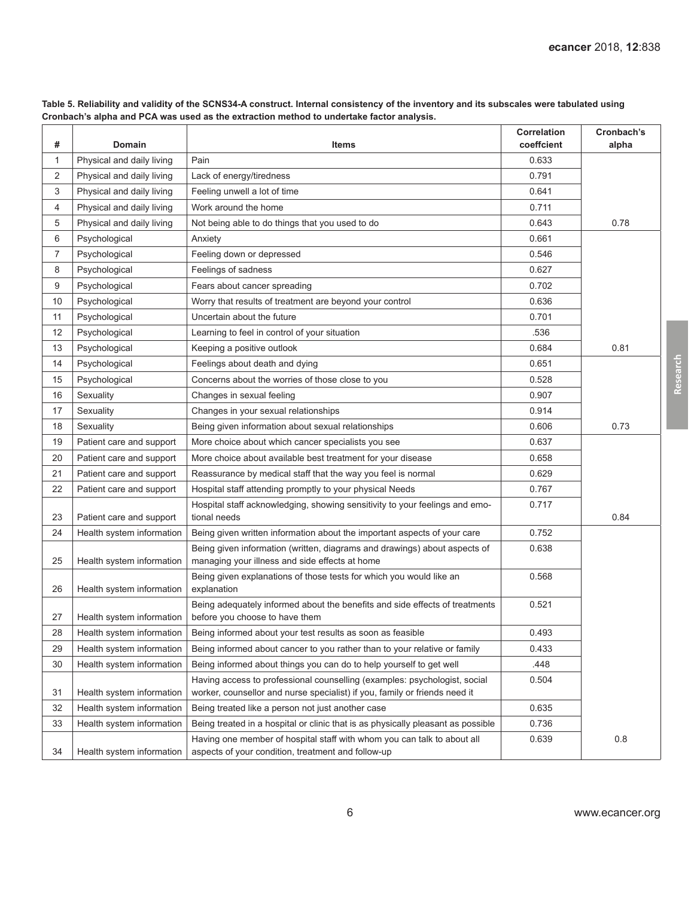**Research**

<span id="page-5-0"></span>**Table 5. Reliability and validity of the SCNS34-A construct. Internal consistency of the inventory and its subscales were tabulated using Cronbach's alpha and PCA was used as the extraction method to undertake factor analysis.**

| #  | Domain                    | <b>Items</b>                                                                                                                                            | Correlation<br>coeffcient | Cronbach's<br>alpha |
|----|---------------------------|---------------------------------------------------------------------------------------------------------------------------------------------------------|---------------------------|---------------------|
| 1  | Physical and daily living | Pain                                                                                                                                                    | 0.633                     |                     |
| 2  | Physical and daily living | Lack of energy/tiredness                                                                                                                                | 0.791                     |                     |
| 3  | Physical and daily living | Feeling unwell a lot of time                                                                                                                            | 0.641                     |                     |
| 4  | Physical and daily living | Work around the home                                                                                                                                    | 0.711                     |                     |
| 5  | Physical and daily living | Not being able to do things that you used to do                                                                                                         | 0.643                     | 0.78                |
| 6  | Psychological             | Anxiety                                                                                                                                                 | 0.661                     |                     |
| 7  | Psychological             | Feeling down or depressed                                                                                                                               | 0.546                     |                     |
| 8  | Psychological             | Feelings of sadness                                                                                                                                     | 0.627                     |                     |
| 9  | Psychological             | Fears about cancer spreading                                                                                                                            | 0.702                     |                     |
| 10 | Psychological             | Worry that results of treatment are beyond your control                                                                                                 | 0.636                     |                     |
| 11 | Psychological             | Uncertain about the future                                                                                                                              | 0.701                     |                     |
| 12 | Psychological             | Learning to feel in control of your situation                                                                                                           | .536                      |                     |
| 13 | Psychological             | Keeping a positive outlook                                                                                                                              | 0.684                     | 0.81                |
| 14 | Psychological             | Feelings about death and dying                                                                                                                          | 0.651                     |                     |
| 15 | Psychological             | Concerns about the worries of those close to you                                                                                                        | 0.528                     |                     |
| 16 | Sexuality                 | Changes in sexual feeling                                                                                                                               | 0.907                     |                     |
| 17 | Sexuality                 | Changes in your sexual relationships                                                                                                                    | 0.914                     |                     |
| 18 | Sexuality                 | Being given information about sexual relationships                                                                                                      | 0.606                     | 0.73                |
| 19 | Patient care and support  | More choice about which cancer specialists you see                                                                                                      | 0.637                     |                     |
| 20 | Patient care and support  | More choice about available best treatment for your disease                                                                                             | 0.658                     |                     |
| 21 | Patient care and support  | Reassurance by medical staff that the way you feel is normal                                                                                            | 0.629                     |                     |
| 22 | Patient care and support  | Hospital staff attending promptly to your physical Needs                                                                                                | 0.767                     |                     |
| 23 | Patient care and support  | Hospital staff acknowledging, showing sensitivity to your feelings and emo-<br>tional needs                                                             | 0.717                     | 0.84                |
| 24 | Health system information | Being given written information about the important aspects of your care                                                                                | 0.752                     |                     |
| 25 | Health system information | Being given information (written, diagrams and drawings) about aspects of<br>managing your illness and side effects at home                             | 0.638                     |                     |
| 26 | Health system information | Being given explanations of those tests for which you would like an<br>explanation                                                                      | 0.568                     |                     |
| 27 | Health system information | Being adequately informed about the benefits and side effects of treatments<br>before you choose to have them                                           | 0.521                     |                     |
| 28 | Health system information | Being informed about your test results as soon as feasible                                                                                              | 0.493                     |                     |
| 29 | Health system information | Being informed about cancer to you rather than to your relative or family                                                                               | 0.433                     |                     |
| 30 | Health system information | Being informed about things you can do to help yourself to get well                                                                                     | .448                      |                     |
| 31 | Health system information | Having access to professional counselling (examples: psychologist, social<br>worker, counsellor and nurse specialist) if you, family or friends need it | 0.504                     |                     |
| 32 | Health system information | Being treated like a person not just another case                                                                                                       | 0.635                     |                     |
| 33 | Health system information | Being treated in a hospital or clinic that is as physically pleasant as possible                                                                        | 0.736                     |                     |
|    |                           | Having one member of hospital staff with whom you can talk to about all                                                                                 | 0.639                     | 0.8                 |
| 34 | Health system information | aspects of your condition, treatment and follow-up                                                                                                      |                           |                     |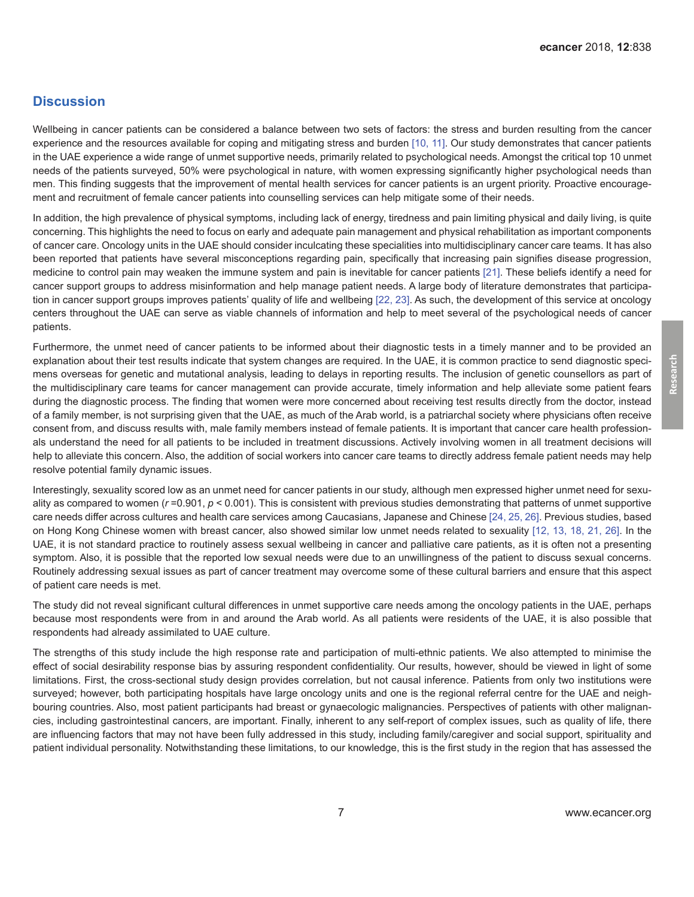### **Discussion**

Wellbeing in cancer patients can be considered a balance between two sets of factors: the stress and burden resulting from the cancer experience and the resources available for coping and mitigating stress and burden [\[10,](#page-8-0) [11\].](#page-8-0) Our study demonstrates that cancer patients in the UAE experience a wide range of unmet supportive needs, primarily related to psychological needs. Amongst the critical top 10 unmet needs of the patients surveyed, 50% were psychological in nature, with women expressing significantly higher psychological needs than men. This finding suggests that the improvement of mental health services for cancer patients is an urgent priority. Proactive encouragement and recruitment of female cancer patients into counselling services can help mitigate some of their needs.

In addition, the high prevalence of physical symptoms, including lack of energy, tiredness and pain limiting physical and daily living, is quite concerning. This highlights the need to focus on early and adequate pain management and physical rehabilitation as important components of cancer care. Oncology units in the UAE should consider inculcating these specialities into multidisciplinary cancer care teams. It has also been reported that patients have several misconceptions regarding pain, specifically that increasing pain signifies disease progression, medicine to control pain may weaken the immune system and pain is inevitable for cancer patients [\[21\]](#page-8-0). These beliefs identify a need for cancer support groups to address misinformation and help manage patient needs. A large body of literature demonstrates that participation in cancer support groups improves patients' quality of life and wellbeing [\[22, 23\]](#page-8-0). As such, the development of this service at oncology centers throughout the UAE can serve as viable channels of information and help to meet several of the psychological needs of cancer patients.

Furthermore, the unmet need of cancer patients to be informed about their diagnostic tests in a timely manner and to be provided an explanation about their test results indicate that system changes are required. In the UAE, it is common practice to send diagnostic specimens overseas for genetic and mutational analysis, leading to delays in reporting results. The inclusion of genetic counsellors as part of the multidisciplinary care teams for cancer management can provide accurate, timely information and help alleviate some patient fears during the diagnostic process. The finding that women were more concerned about receiving test results directly from the doctor, instead of a family member, is not surprising given that the UAE, as much of the Arab world, is a patriarchal society where physicians often receive consent from, and discuss results with, male family members instead of female patients. It is important that cancer care health professionals understand the need for all patients to be included in treatment discussions. Actively involving women in all treatment decisions will help to alleviate this concern. Also, the addition of social workers into cancer care teams to directly address female patient needs may help resolve potential family dynamic issues.

Interestingly, sexuality scored low as an unmet need for cancer patients in our study, although men expressed higher unmet need for sexuality as compared to women ( $r = 0.901$ ,  $p < 0.001$ ). This is consistent with previous studies demonstrating that patterns of unmet supportive care needs differ across cultures and health care services among Caucasians, Japanese and Chinese [\[24, 25, 26\]](#page-9-0). Previous studies, based on Hong Kong Chinese women with breast cancer, also showed similar low unmet needs related to sexuality [\[12, 13,](#page-8-0) [18, 21,](#page-8-0) [26\]](#page-9-0). In the UAE, it is not standard practice to routinely assess sexual wellbeing in cancer and palliative care patients, as it is often not a presenting symptom. Also, it is possible that the reported low sexual needs were due to an unwillingness of the patient to discuss sexual concerns. Routinely addressing sexual issues as part of cancer treatment may overcome some of these cultural barriers and ensure that this aspect of patient care needs is met.

The study did not reveal significant cultural differences in unmet supportive care needs among the oncology patients in the UAE, perhaps because most respondents were from in and around the Arab world. As all patients were residents of the UAE, it is also possible that respondents had already assimilated to UAE culture.

The strengths of this study include the high response rate and participation of multi-ethnic patients. We also attempted to minimise the effect of social desirability response bias by assuring respondent confidentiality. Our results, however, should be viewed in light of some limitations. First, the cross-sectional study design provides correlation, but not causal inference. Patients from only two institutions were surveyed; however, both participating hospitals have large oncology units and one is the regional referral centre for the UAE and neighbouring countries. Also, most patient participants had breast or gynaecologic malignancies. Perspectives of patients with other malignancies, including gastrointestinal cancers, are important. Finally, inherent to any self-report of complex issues, such as quality of life, there are influencing factors that may not have been fully addressed in this study, including family/caregiver and social support, spirituality and patient individual personality. Notwithstanding these limitations, to our knowledge, this is the first study in the region that has assessed the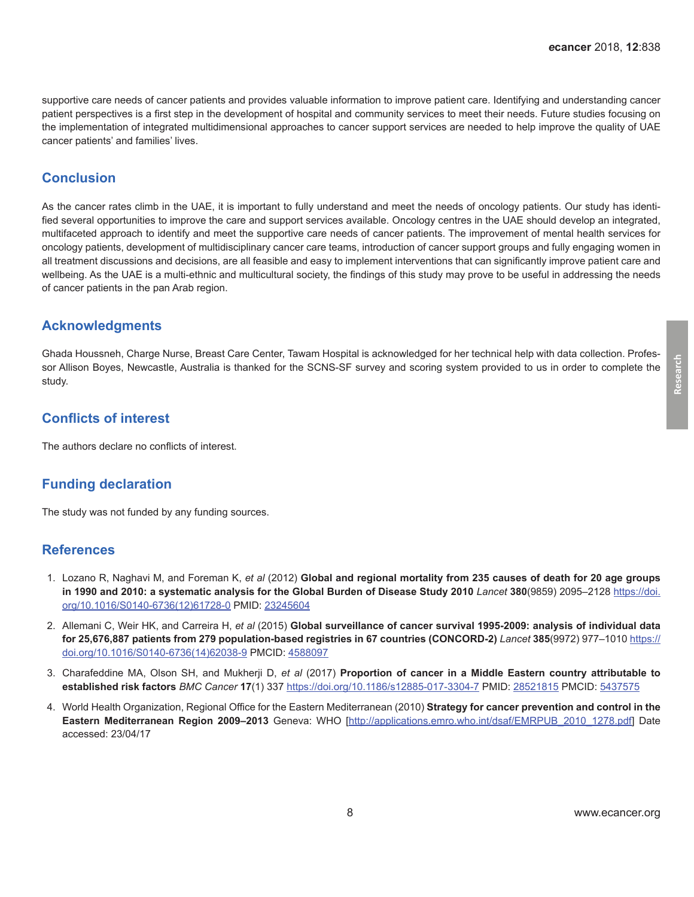<span id="page-7-0"></span>supportive care needs of cancer patients and provides valuable information to improve patient care. Identifying and understanding cancer patient perspectives is a first step in the development of hospital and community services to meet their needs. Future studies focusing on the implementation of integrated multidimensional approaches to cancer support services are needed to help improve the quality of UAE cancer patients' and families' lives.

## **Conclusion**

As the cancer rates climb in the UAE, it is important to fully understand and meet the needs of oncology patients. Our study has identified several opportunities to improve the care and support services available. Oncology centres in the UAE should develop an integrated, multifaceted approach to identify and meet the supportive care needs of cancer patients. The improvement of mental health services for oncology patients, development of multidisciplinary cancer care teams, introduction of cancer support groups and fully engaging women in all treatment discussions and decisions, are all feasible and easy to implement interventions that can significantly improve patient care and wellbeing. As the UAE is a multi-ethnic and multicultural society, the findings of this study may prove to be useful in addressing the needs of cancer patients in the pan Arab region.

### **Acknowledgments**

Ghada Houssneh, Charge Nurse, Breast Care Center, Tawam Hospital is acknowledged for her technical help with data collection. Professor Allison Boyes, Newcastle, Australia is thanked for the SCNS-SF survey and scoring system provided to us in order to complete the study.

# **Conflicts of interest**

The authors declare no conflicts of interest.

# **Funding declaration**

The study was not funded by any funding sources.

### **References**

- 1. Lozano R, Naghavi M, and Foreman K, *et al* (2012) **Global and regional mortality from 235 causes of death for 20 age groups**  in 1990 and 2010: a systematic analysis for the Global Burden of Disease Study 2010 *Lancet* 380(9859) 2095–2128 [https://doi.](https://doi.org/10.1016/S0140-6736(12)61728-0) [org/10.1016/S0140-6736\(12\)61728-0](https://doi.org/10.1016/S0140-6736(12)61728-0) PMID: [23245604](http://www.ncbi.nlm.nih.gov/pubmed/23245604)
- 2. Allemani C, Weir HK, and Carreira H, *et al* (2015) **Global surveillance of cancer survival 1995-2009: analysis of individual data for 25,676,887 patients from 279 population-based registries in 67 countries (CONCORD-2)** *Lancet* **385**(9972) 977–1010 [https://](https://doi.org/10.1016/S0140-6736(14)62038-9) [doi.org/10.1016/S0140-6736\(14\)62038-9](https://doi.org/10.1016/S0140-6736(14)62038-9) PMCID: [4588097](http://www.ncbi.nlm.nih.gov/pmc/articles/PMC4588097)
- 3. Charafeddine MA, Olson SH, and Mukherji D, *et al* (2017) **Proportion of cancer in a Middle Eastern country attributable to established risk factors** *BMC Cancer* **17**(1) 337<https://doi.org/10.1186/s12885-017-3304-7> PMID: [28521815](http://www.ncbi.nlm.nih.gov/pubmed/28521815) PMCID: [5437575](http://www.ncbi.nlm.nih.gov/pmc/articles/PMC5437575)
- 4. World Health Organization, Regional Office for the Eastern Mediterranean (2010) **Strategy for cancer prevention and control in the Eastern Mediterranean Region 2009–2013** Geneva: WHO [[http://applications.emro.who.int/dsaf/EMRPUB\\_2010\\_1278.pdf](http://applications.emro.who.int/dsaf/EMRPUB_2010_1278.pdf)] Date accessed: 23/04/17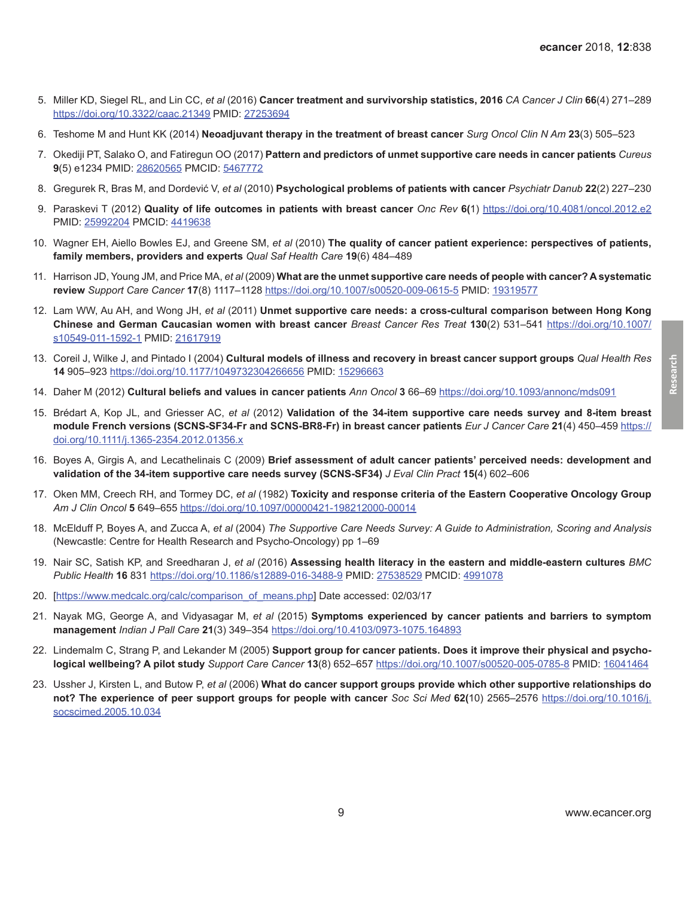- <span id="page-8-0"></span>5. Miller KD, Siegel RL, and Lin CC, *et al* (2016) **Cancer treatment and survivorship statistics, 2016** *CA Cancer J Clin* **66**(4) 271–289 <https://doi.org/10.3322/caac.21349>PMID: [27253694](http://www.ncbi.nlm.nih.gov/pubmed/27253694)
- 6. Teshome M and Hunt KK (2014) **Neoadjuvant therapy in the treatment of breast cancer** *Surg Oncol Clin N Am* **23**(3) 505–523
- 7. Okediji PT, Salako O, and Fatiregun OO (2017) **Pattern and predictors of unmet supportive care needs in cancer patients** *Cureus* **9**(5) e1234 PMID: [28620565](http://www.ncbi.nlm.nih.gov/pubmed/28620565) PMCID: [5467772](http://www.ncbi.nlm.nih.gov/pmc/articles/PMC5467772)
- 8. Gregurek R, Bras M, and Dordević V, *et al* (2010) **Psychological problems of patients with cancer** *Psychiatr Danub* **22**(2) 227–230
- 9. Paraskevi T (2012) **Quality of life outcomes in patients with breast cancer** *Onc Rev* **6(**1) <https://doi.org/10.4081/oncol.2012.e2> PMID: [25992204](http://www.ncbi.nlm.nih.gov/pubmed/25992204) PMCID: [4419638](http://www.ncbi.nlm.nih.gov/pmc/articles/PMC4419638)
- 10. Wagner EH, Aiello Bowles EJ, and Greene SM, *et al* (2010) **The quality of cancer patient experience: perspectives of patients, family members, providers and experts** *Qual Saf Health Care* **19**(6) 484–489
- 11. Harrison JD, Young JM, and Price MA, *et al* (2009) **What are the unmet supportive care needs of people with cancer? A systematic review** *Support Care Cancer* **17**(8) 1117–1128<https://doi.org/10.1007/s00520-009-0615-5> PMID: [19319577](http://www.ncbi.nlm.nih.gov/pubmed/19319577)
- 12. Lam WW, Au AH, and Wong JH, *et al* (2011) **Unmet supportive care needs: a cross-cultural comparison between Hong Kong Chinese and German Caucasian women with breast cancer** *Breast Cancer Res Treat* **130**(2) 531–541 [https://doi.org/10.1007/](https://doi.org/10.1007/s10549-011-1592-1) [s10549-011-1592-1](https://doi.org/10.1007/s10549-011-1592-1) PMID: [21617919](http://www.ncbi.nlm.nih.gov/pubmed/21617919)
- 13. Coreil J, Wilke J, and Pintado I (2004) **Cultural models of illness and recovery in breast cancer support groups** *Qual Health Res*  **14** 905–923<https://doi.org/10.1177/1049732304266656> PMID: [15296663](http://www.ncbi.nlm.nih.gov/pubmed/15296663)
- 14. Daher M (2012) **Cultural beliefs and values in cancer patients** *Ann Oncol* **3** 66–69 <https://doi.org/10.1093/annonc/mds091>
- 15. Brédart A, Kop JL, and Griesser AC, *et al* (2012) **Validation of the 34-item supportive care needs survey and 8-item breast module French versions (SCNS-SF34-Fr and SCNS-BR8-Fr) in breast cancer patients** *Eur J Cancer Care* **21**(4) 450–459 [https://](https://doi.org/10.1111/j.1365-2354.2012.01356.x) [doi.org/10.1111/j.1365-2354.2012.01356.x](https://doi.org/10.1111/j.1365-2354.2012.01356.x)
- 16. Boyes A, Girgis A, and Lecathelinais C (2009) **Brief assessment of adult cancer patients' perceived needs: development and validation of the 34-item supportive care needs survey (SCNS-SF34)** *J Eval Clin Pract* **15(**4) 602–606
- 17. Oken MM, Creech RH, and Tormey DC, *et al* (1982) **Toxicity and response criteria of the Eastern Cooperative Oncology Group** *Am J Clin Oncol* **5** 649–655<https://doi.org/10.1097/00000421-198212000-00014>
- 18. McElduff P, Boyes A, and Zucca A, *et al* (2004) *The Supportive Care Needs Survey: A Guide to Administration, Scoring and Analysis* (Newcastle: Centre for Health Research and Psycho-Oncology) pp 1–69
- 19. Nair SC, Satish KP, and Sreedharan J, *et al* (2016) **Assessing health literacy in the eastern and middle-eastern cultures** *BMC Public Health* **16** 831 <https://doi.org/10.1186/s12889-016-3488-9> PMID: [27538529](http://www.ncbi.nlm.nih.gov/pubmed/27538529) PMCID: [4991078](http://www.ncbi.nlm.nih.gov/pmc/articles/PMC4991078)
- 20. [https://www.medcalc.org/calc/comparison\_of\_means.php] Date accessed: 02/03/17
- 21. Nayak MG, George A, and Vidyasagar M, *et al* (2015) **Symptoms experienced by cancer patients and barriers to symptom management** *Indian J Pall Care* **21**(3) 349–354 <https://doi.org/10.4103/0973-1075.164893>
- 22. Lindemalm C, Strang P, and Lekander M (2005) **Support group for cancer patients. Does it improve their physical and psychological wellbeing? A pilot study** *Support Care Cancer* **13**(8) 652–657 <https://doi.org/10.1007/s00520-005-0785-8> PMID: [16041464](http://www.ncbi.nlm.nih.gov/pubmed/16041464)
- 23. Ussher J, Kirsten L, and Butow P, *et al* (2006) **What do cancer support groups provide which other supportive relationships do not? The experience of peer support groups for people with cancer** *Soc Sci Med* **62(**10) 2565–2576 [https://doi.org/10.1016/j.](https://doi.org/10.1016/j.socscimed.2005.10.034) [socscimed.2005.10.034](https://doi.org/10.1016/j.socscimed.2005.10.034)